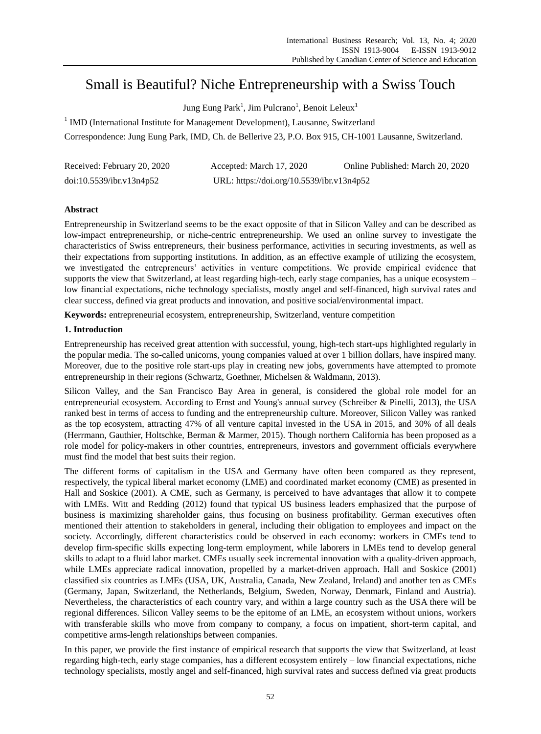# Small is Beautiful? Niche Entrepreneurship with a Swiss Touch

Jung Eung Park<sup>1</sup>, Jim Pulcrano<sup>1</sup>, Benoit Leleux<sup>1</sup>

<sup>1</sup> IMD (International Institute for Management Development), Lausanne, Switzerland

Correspondence: Jung Eung Park, IMD, Ch. de Bellerive 23, P.O. Box 915, CH-1001 Lausanne, Switzerland.

| Received: February 20, 2020 | Accepted: March 17, 2020                  | Online Published: March 20, 2020 |
|-----------------------------|-------------------------------------------|----------------------------------|
| doi:10.5539/ibr.v13n4p52    | URL: https://doi.org/10.5539/ibr.v13n4p52 |                                  |

# **Abstract**

Entrepreneurship in Switzerland seems to be the exact opposite of that in Silicon Valley and can be described as low-impact entrepreneurship, or niche-centric entrepreneurship. We used an online survey to investigate the characteristics of Swiss entrepreneurs, their business performance, activities in securing investments, as well as their expectations from supporting institutions. In addition, as an effective example of utilizing the ecosystem, we investigated the entrepreneurs' activities in venture competitions. We provide empirical evidence that supports the view that Switzerland, at least regarding high-tech, early stage companies, has a unique ecosystem – low financial expectations, niche technology specialists, mostly angel and self-financed, high survival rates and clear success, defined via great products and innovation, and positive social/environmental impact.

**Keywords:** entrepreneurial ecosystem, entrepreneurship, Switzerland, venture competition

## **1. Introduction**

Entrepreneurship has received great attention with successful, young, high-tech start-ups highlighted regularly in the popular media. The so-called unicorns, young companies valued at over 1 billion dollars, have inspired many. Moreover, due to the positive role start-ups play in creating new jobs, governments have attempted to promote entrepreneurship in their regions (Schwartz, Goethner, Michelsen & Waldmann, 2013).

Silicon Valley, and the San Francisco Bay Area in general, is considered the global role model for an entrepreneurial ecosystem. According to Ernst and Young's annual survey (Schreiber & Pinelli, 2013), the USA ranked best in terms of access to funding and the entrepreneurship culture. Moreover, Silicon Valley was ranked as the top ecosystem, attracting 47% of all venture capital invested in the USA in 2015, and 30% of all deals (Herrmann, Gauthier, Holtschke, Berman & Marmer, 2015). Though northern California has been proposed as a role model for policy-makers in other countries, entrepreneurs, investors and government officials everywhere must find the model that best suits their region.

The different forms of capitalism in the USA and Germany have often been compared as they represent, respectively, the typical liberal market economy (LME) and coordinated market economy (CME) as presented in Hall and Soskice (2001). A CME, such as Germany, is perceived to have advantages that allow it to compete with LMEs. Witt and Redding (2012) found that typical US business leaders emphasized that the purpose of business is maximizing shareholder gains, thus focusing on business profitability. German executives often mentioned their attention to stakeholders in general, including their obligation to employees and impact on the society. Accordingly, different characteristics could be observed in each economy: workers in CMEs tend to develop firm-specific skills expecting long-term employment, while laborers in LMEs tend to develop general skills to adapt to a fluid labor market. CMEs usually seek incremental innovation with a quality-driven approach, while LMEs appreciate radical innovation, propelled by a market-driven approach. Hall and Soskice (2001) classified six countries as LMEs (USA, UK, Australia, Canada, New Zealand, Ireland) and another ten as CMEs (Germany, Japan, Switzerland, the Netherlands, Belgium, Sweden, Norway, Denmark, Finland and Austria). Nevertheless, the characteristics of each country vary, and within a large country such as the USA there will be regional differences. Silicon Valley seems to be the epitome of an LME, an ecosystem without unions, workers with transferable skills who move from company to company, a focus on impatient, short-term capital, and competitive arms-length relationships between companies.

In this paper, we provide the first instance of empirical research that supports the view that Switzerland, at least regarding high-tech, early stage companies, has a different ecosystem entirely – low financial expectations, niche technology specialists, mostly angel and self-financed, high survival rates and success defined via great products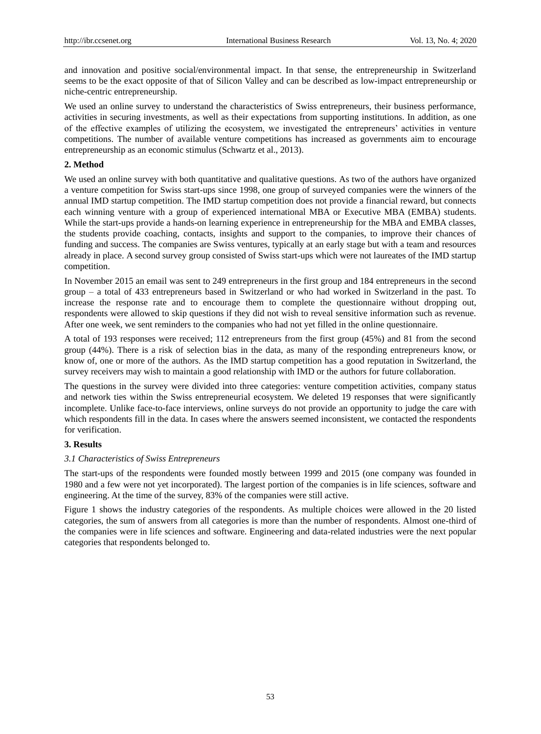and innovation and positive social/environmental impact. In that sense, the entrepreneurship in Switzerland seems to be the exact opposite of that of Silicon Valley and can be described as low-impact entrepreneurship or niche-centric entrepreneurship.

We used an online survey to understand the characteristics of Swiss entrepreneurs, their business performance, activities in securing investments, as well as their expectations from supporting institutions. In addition, as one of the effective examples of utilizing the ecosystem, we investigated the entrepreneurs' activities in venture competitions. The number of available venture competitions has increased as governments aim to encourage entrepreneurship as an economic stimulus (Schwartz et al., 2013).

#### **2. Method**

We used an online survey with both quantitative and qualitative questions. As two of the authors have organized a venture competition for Swiss start-ups since 1998, one group of surveyed companies were the winners of the annual IMD startup competition. The IMD startup competition does not provide a financial reward, but connects each winning venture with a group of experienced international MBA or Executive MBA (EMBA) students. While the start-ups provide a hands-on learning experience in entrepreneurship for the MBA and EMBA classes, the students provide coaching, contacts, insights and support to the companies, to improve their chances of funding and success. The companies are Swiss ventures, typically at an early stage but with a team and resources already in place. A second survey group consisted of Swiss start-ups which were not laureates of the IMD startup competition.

In November 2015 an email was sent to 249 entrepreneurs in the first group and 184 entrepreneurs in the second group – a total of 433 entrepreneurs based in Switzerland or who had worked in Switzerland in the past. To increase the response rate and to encourage them to complete the questionnaire without dropping out, respondents were allowed to skip questions if they did not wish to reveal sensitive information such as revenue. After one week, we sent reminders to the companies who had not yet filled in the online questionnaire.

A total of 193 responses were received; 112 entrepreneurs from the first group (45%) and 81 from the second group (44%). There is a risk of selection bias in the data, as many of the responding entrepreneurs know, or know of, one or more of the authors. As the IMD startup competition has a good reputation in Switzerland, the survey receivers may wish to maintain a good relationship with IMD or the authors for future collaboration.

The questions in the survey were divided into three categories: venture competition activities, company status and network ties within the Swiss entrepreneurial ecosystem. We deleted 19 responses that were significantly incomplete. Unlike face-to-face interviews, online surveys do not provide an opportunity to judge the care with which respondents fill in the data. In cases where the answers seemed inconsistent, we contacted the respondents for verification.

#### **3. Results**

## *3.1 Characteristics of Swiss Entrepreneurs*

The start-ups of the respondents were founded mostly between 1999 and 2015 (one company was founded in 1980 and a few were not yet incorporated). The largest portion of the companies is in life sciences, software and engineering. At the time of the survey, 83% of the companies were still active.

Figure 1 shows the industry categories of the respondents. As multiple choices were allowed in the 20 listed categories, the sum of answers from all categories is more than the number of respondents. Almost one-third of the companies were in life sciences and software. Engineering and data-related industries were the next popular categories that respondents belonged to.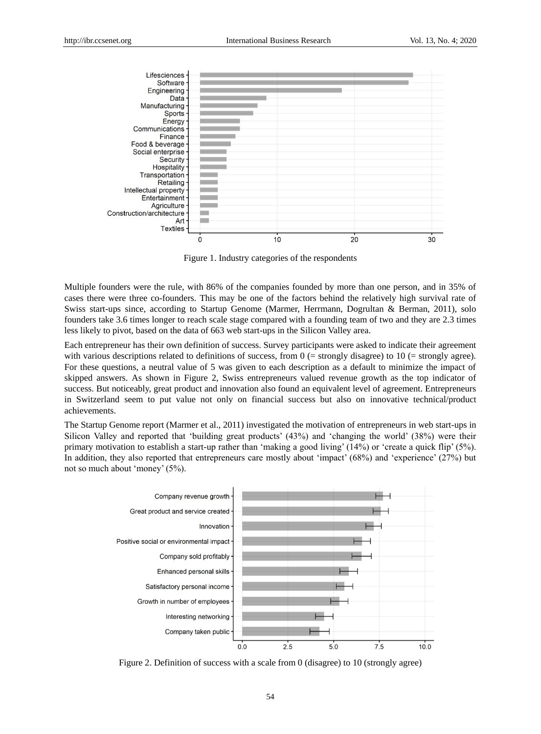

Figure 1. Industry categories of the respondents

Multiple founders were the rule, with 86% of the companies founded by more than one person, and in 35% of cases there were three co-founders. This may be one of the factors behind the relatively high survival rate of Swiss start-ups since, according to Startup Genome (Marmer, Herrmann, Dogrultan & Berman, 2011), solo founders take 3.6 times longer to reach scale stage compared with a founding team of two and they are 2.3 times less likely to pivot, based on the data of 663 web start-ups in the Silicon Valley area.

Each entrepreneur has their own definition of success. Survey participants were asked to indicate their agreement with various descriptions related to definitions of success, from  $0$  (= strongly disagree) to 10 (= strongly agree). For these questions, a neutral value of 5 was given to each description as a default to minimize the impact of skipped answers. As shown in Figure 2, Swiss entrepreneurs valued revenue growth as the top indicator of success. But noticeably, great product and innovation also found an equivalent level of agreement. Entrepreneurs in Switzerland seem to put value not only on financial success but also on innovative technical/product achievements.

The Startup Genome report (Marmer et al., 2011) investigated the motivation of entrepreneurs in web start-ups in Silicon Valley and reported that 'building great products' (43%) and 'changing the world' (38%) were their primary motivation to establish a start-up rather than 'making a good living' (14%) or 'create a quick flip' (5%). In addition, they also reported that entrepreneurs care mostly about 'impact' (68%) and 'experience' (27%) but not so much about 'money' (5%).



Figure 2. Definition of success with a scale from 0 (disagree) to 10 (strongly agree)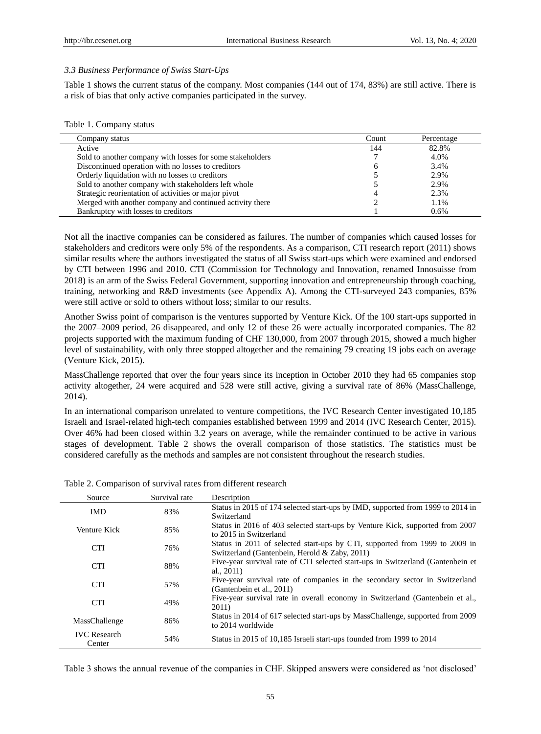#### *3.3 Business Performance of Swiss Start-Ups*

Table 1 shows the current status of the company. Most companies (144 out of 174, 83%) are still active. There is a risk of bias that only active companies participated in the survey.

|  | Table 1. Company status |  |
|--|-------------------------|--|
|--|-------------------------|--|

| Company status                                            | Count | Percentage |
|-----------------------------------------------------------|-------|------------|
| Active                                                    | 144   | 82.8%      |
| Sold to another company with losses for some stakeholders |       | 4.0%       |
| Discontinued operation with no losses to creditors        | h     | 3.4%       |
| Orderly liquidation with no losses to creditors           |       | 2.9%       |
| Sold to another company with stakeholders left whole      |       | 2.9%       |
| Strategic reorientation of activities or major pivot      |       | 2.3%       |
| Merged with another company and continued activity there  |       | 1.1%       |
| Bankruptcy with losses to creditors                       |       | 0.6%       |

Not all the inactive companies can be considered as failures. The number of companies which caused losses for stakeholders and creditors were only 5% of the respondents. As a comparison, CTI research report (2011) shows similar results where the authors investigated the status of all Swiss start-ups which were examined and endorsed by CTI between 1996 and 2010. CTI (Commission for Technology and Innovation, renamed Innosuisse from 2018) is an arm of the Swiss Federal Government, supporting innovation and entrepreneurship through coaching, training, networking and R&D investments (see Appendix A). Among the CTI-surveyed 243 companies, 85% were still active or sold to others without loss; similar to our results.

Another Swiss point of comparison is the ventures supported by Venture Kick. Of the 100 start-ups supported in the 2007–2009 period, 26 disappeared, and only 12 of these 26 were actually incorporated companies. The 82 projects supported with the maximum funding of CHF 130,000, from 2007 through 2015, showed a much higher level of sustainability, with only three stopped altogether and the remaining 79 creating 19 jobs each on average (Venture Kick, 2015).

MassChallenge reported that over the four years since its inception in October 2010 they had 65 companies stop activity altogether, 24 were acquired and 528 were still active, giving a survival rate of 86% (MassChallenge, 2014).

In an international comparison unrelated to venture competitions, the IVC Research Center investigated 10,185 Israeli and Israel-related high-tech companies established between 1999 and 2014 (IVC Research Center, 2015). Over 46% had been closed within 3.2 years on average, while the remainder continued to be active in various stages of development. Table 2 shows the overall comparison of those statistics. The statistics must be considered carefully as the methods and samples are not consistent throughout the research studies.

| Source                        | Survival rate | Description                                                                                                                  |
|-------------------------------|---------------|------------------------------------------------------------------------------------------------------------------------------|
| <b>IMD</b>                    | 83%           | Status in 2015 of 174 selected start-ups by IMD, supported from 1999 to 2014 in<br>Switzerland                               |
| Venture Kick                  | 85%           | Status in 2016 of 403 selected start-ups by Venture Kick, supported from 2007<br>to 2015 in Switzerland                      |
| <b>CTI</b>                    | 76%           | Status in 2011 of selected start-ups by CTI, supported from 1999 to 2009 in<br>Switzerland (Gantenbein, Herold & Zaby, 2011) |
| <b>CTI</b>                    | 88%           | Five-year survival rate of CTI selected start-ups in Switzerland (Gantenbein et<br>al., $2011$ )                             |
| <b>CTI</b>                    | 57%           | Five-year survival rate of companies in the secondary sector in Switzerland<br>(Gantenbein et al., 2011)                     |
| <b>CTI</b>                    | 49%           | Five-year survival rate in overall economy in Switzerland (Gantenbein et al.,<br>2011)                                       |
| MassChallenge                 | 86%           | Status in 2014 of 617 selected start-ups by MassChallenge, supported from 2009<br>to 2014 worldwide                          |
| <b>IVC</b> Research<br>Center | 54%           | Status in 2015 of 10,185 Israeli start-ups founded from 1999 to 2014                                                         |
|                               |               |                                                                                                                              |

|  |  | Table 2. Comparison of survival rates from different research |
|--|--|---------------------------------------------------------------|
|  |  |                                                               |

Table 3 shows the annual revenue of the companies in CHF. Skipped answers were considered as 'not disclosed'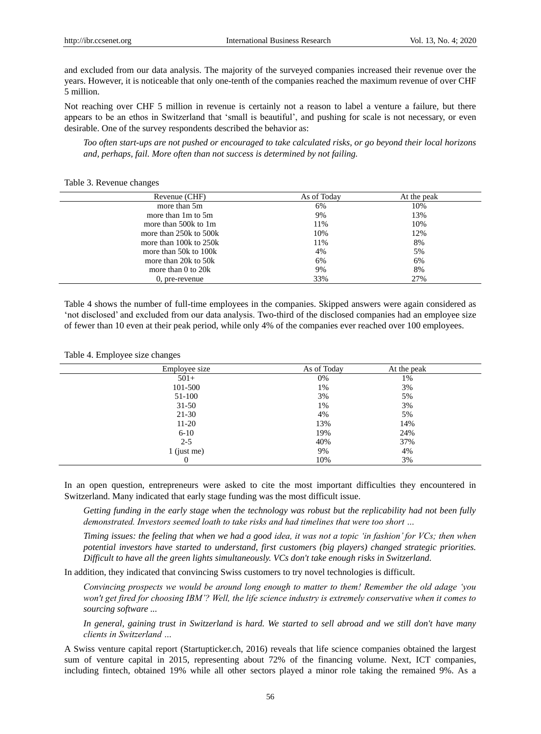and excluded from our data analysis. The majority of the surveyed companies increased their revenue over the years. However, it is noticeable that only one-tenth of the companies reached the maximum revenue of over CHF 5 million.

Not reaching over CHF 5 million in revenue is certainly not a reason to label a venture a failure, but there appears to be an ethos in Switzerland that 'small is beautiful', and pushing for scale is not necessary, or even desirable. One of the survey respondents described the behavior as:

*Too often start-ups are not pushed or encouraged to take calculated risks, or go beyond their local horizons and, perhaps, fail. More often than not success is determined by not failing.*

#### Table 3. Revenue changes

| Revenue (CHF)          | As of Today | At the peak |
|------------------------|-------------|-------------|
| more than 5m           | 6%          | 10%         |
| more than 1m to 5m     | 9%          | 13%         |
| more than $500k$ to 1m | 11%         | 10%         |
| more than 250k to 500k | 10%         | 12%         |
| more than 100k to 250k | 11%         | 8%          |
| more than 50k to 100k  | 4%          | 5%          |
| more than 20k to 50k   | 6%          | 6%          |
| more than $0$ to $20k$ | 9%          | 8%          |
| 0, pre-revenue         | 33%         | 27%         |

Table 4 shows the number of full-time employees in the companies. Skipped answers were again considered as 'not disclosed' and excluded from our data analysis. Two-third of the disclosed companies had an employee size of fewer than 10 even at their peak period, while only 4% of the companies ever reached over 100 employees.

#### Table 4. Employee size changes

| Employee size | As of Today | At the peak |  |
|---------------|-------------|-------------|--|
| $501+$        | 0%          | 1%          |  |
| 101-500       | 1%          | 3%          |  |
| 51-100        | 3%          | 5%          |  |
| $31 - 50$     | 1%          | 3%          |  |
| $21-30$       | 4%          | 5%          |  |
| $11-20$       | 13%         | 14%         |  |
| $6 - 10$      | 19%         | 24%         |  |
| $2 - 5$       | 40%         | 37%         |  |
| $1$ (just me) | 9%          | 4%          |  |
| 0             | 10%         | 3%          |  |

In an open question, entrepreneurs were asked to cite the most important difficulties they encountered in Switzerland. Many indicated that early stage funding was the most difficult issue.

*Getting funding in the early stage when the technology was robust but the replicability had not been fully demonstrated. Investors seemed loath to take risks and had timelines that were too short …*

*Timing issues: the feeling that when we had a good idea, it was not a topic 'in fashion' for VCs; then when potential investors have started to understand, first customers (big players) changed strategic priorities. Difficult to have all the green lights simultaneously. VCs don't take enough risks in Switzerland.*

In addition, they indicated that convincing Swiss customers to try novel technologies is difficult.

*Convincing prospects we would be around long enough to matter to them! Remember the old adage 'you won't get fired for choosing IBM'? Well, the life science industry is extremely conservative when it comes to sourcing software ...*

*In general, gaining trust in Switzerland is hard. We started to sell abroad and we still don't have many clients in Switzerland …*

A Swiss venture capital report (Startupticker.ch, 2016) reveals that life science companies obtained the largest sum of venture capital in 2015, representing about 72% of the financing volume. Next, ICT companies, including fintech, obtained 19% while all other sectors played a minor role taking the remained 9%. As a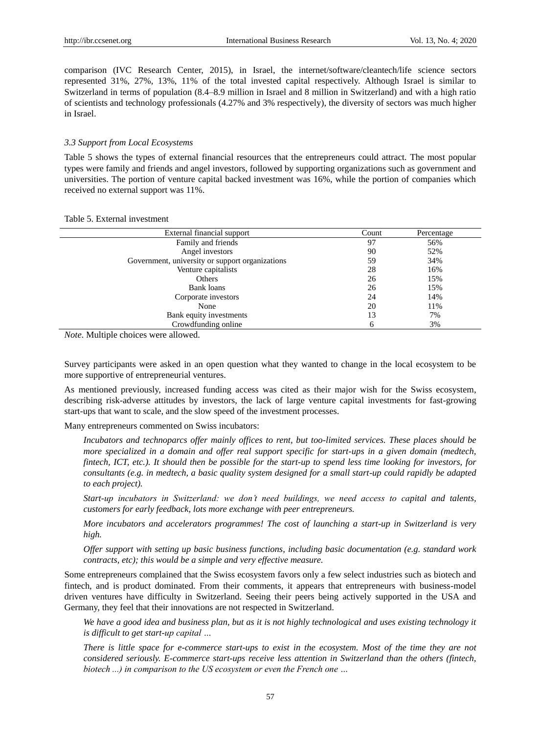comparison (IVC Research Center, 2015), in Israel, the internet/software/cleantech/life science sectors represented 31%, 27%, 13%, 11% of the total invested capital respectively. Although Israel is similar to Switzerland in terms of population (8.4–8.9 million in Israel and 8 million in Switzerland) and with a high ratio of scientists and technology professionals (4.27% and 3% respectively), the diversity of sectors was much higher in Israel.

#### *3.3 Support from Local Ecosystems*

Table 5 shows the types of external financial resources that the entrepreneurs could attract. The most popular types were family and friends and angel investors, followed by supporting organizations such as government and universities. The portion of venture capital backed investment was 16%, while the portion of companies which received no external support was 11%.

#### Table 5. External investment

| External financial support                      | Count | Percentage |  |
|-------------------------------------------------|-------|------------|--|
| Family and friends                              | 97    | 56%        |  |
| Angel investors                                 | 90    | 52%        |  |
| Government, university or support organizations | 59    | 34%        |  |
| Venture capitalists                             | 28    | 16%        |  |
| Others                                          | 26    | 15%        |  |
| Bank loans                                      | 26    | 15%        |  |
| Corporate investors                             | 24    | 14%        |  |
| None                                            | 20    | 11%        |  |
| Bank equity investments                         | 13    | 7%         |  |
| Crowdfunding online                             | h     | 3%         |  |

*Note*. Multiple choices were allowed.

Survey participants were asked in an open question what they wanted to change in the local ecosystem to be more supportive of entrepreneurial ventures.

As mentioned previously, increased funding access was cited as their major wish for the Swiss ecosystem, describing risk-adverse attitudes by investors, the lack of large venture capital investments for fast-growing start-ups that want to scale, and the slow speed of the investment processes.

Many entrepreneurs commented on Swiss incubators:

*Incubators and technoparcs offer mainly offices to rent, but too-limited services. These places should be more specialized in a domain and offer real support specific for start-ups in a given domain (medtech, fintech, ICT, etc.). It should then be possible for the start-up to spend less time looking for investors, for consultants (e.g. in medtech, a basic quality system designed for a small start-up could rapidly be adapted to each project).*

*Start-up incubators in Switzerland: we don't need buildings, we need access to capital and talents, customers for early feedback, lots more exchange with peer entrepreneurs.*

*More incubators and accelerators programmes! The cost of launching a start-up in Switzerland is very high.* 

*Offer support with setting up basic business functions, including basic documentation (e.g. standard work contracts, etc); this would be a simple and very effective measure.*

Some entrepreneurs complained that the Swiss ecosystem favors only a few select industries such as biotech and fintech, and is product dominated. From their comments, it appears that entrepreneurs with business-model driven ventures have difficulty in Switzerland. Seeing their peers being actively supported in the USA and Germany, they feel that their innovations are not respected in Switzerland.

*We have a good idea and business plan, but as it is not highly technological and uses existing technology it is difficult to get start-up capital …*

*There is little space for e-commerce start-ups to exist in the ecosystem. Most of the time they are not considered seriously. E-commerce start-ups receive less attention in Switzerland than the others (fintech, biotech ...) in comparison to the US ecosystem or even the French one …*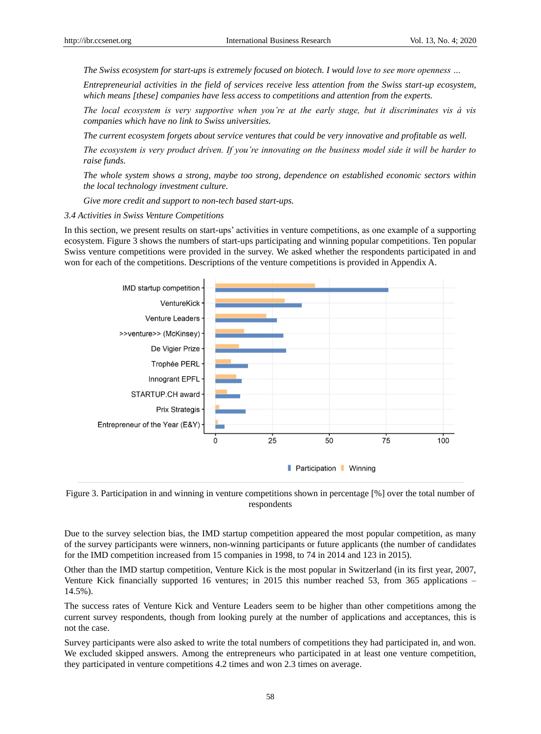*The Swiss ecosystem for start-ups is extremely focused on biotech. I would love to see more openness …*

*Entrepreneurial activities in the field of services receive less attention from the Swiss start-up ecosystem, which means [these] companies have less access to competitions and attention from the experts.* 

*The local ecosystem is very supportive when you're at the early stage, but it discriminates vis à vis companies which have no link to Swiss universities.*

*The current ecosystem forgets about service ventures that could be very innovative and profitable as well.*

*The ecosystem is very product driven. If you're innovating on the business model side it will be harder to raise funds.*

*The whole system shows a strong, maybe too strong, dependence on established economic sectors within the local technology investment culture.*

*Give more credit and support to non-tech based start-ups.*

#### *3.4 Activities in Swiss Venture Competitions*

In this section, we present results on start-ups' activities in venture competitions, as one example of a supporting ecosystem. Figure 3 shows the numbers of start-ups participating and winning popular competitions. Ten popular Swiss venture competitions were provided in the survey. We asked whether the respondents participated in and won for each of the competitions. Descriptions of the venture competitions is provided in Appendix A.



Figure 3. Participation in and winning in venture competitions shown in percentage [%] over the total number of respondents

Due to the survey selection bias, the IMD startup competition appeared the most popular competition, as many of the survey participants were winners, non-winning participants or future applicants (the number of candidates for the IMD competition increased from 15 companies in 1998, to 74 in 2014 and 123 in 2015).

Other than the IMD startup competition, Venture Kick is the most popular in Switzerland (in its first year, 2007, Venture Kick financially supported 16 ventures; in 2015 this number reached 53, from 365 applications – 14.5%).

The success rates of Venture Kick and Venture Leaders seem to be higher than other competitions among the current survey respondents, though from looking purely at the number of applications and acceptances, this is not the case.

Survey participants were also asked to write the total numbers of competitions they had participated in, and won. We excluded skipped answers. Among the entrepreneurs who participated in at least one venture competition, they participated in venture competitions 4.2 times and won 2.3 times on average.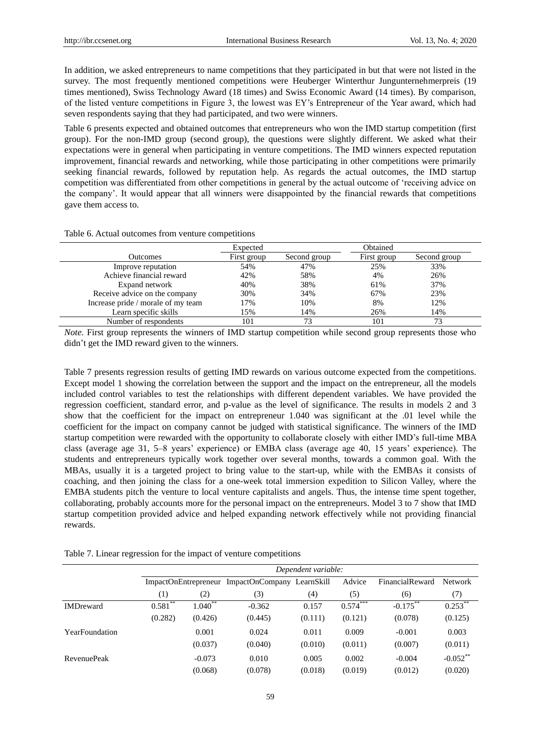In addition, we asked entrepreneurs to name competitions that they participated in but that were not listed in the survey. The most frequently mentioned competitions were Heuberger Winterthur Jungunternehmerpreis (19 times mentioned), Swiss Technology Award (18 times) and Swiss Economic Award (14 times). By comparison, of the listed venture competitions in Figure 3, the lowest was EY's Entrepreneur of the Year award, which had seven respondents saying that they had participated, and two were winners.

Table 6 presents expected and obtained outcomes that entrepreneurs who won the IMD startup competition (first group). For the non-IMD group (second group), the questions were slightly different. We asked what their expectations were in general when participating in venture competitions. The IMD winners expected reputation improvement, financial rewards and networking, while those participating in other competitions were primarily seeking financial rewards, followed by reputation help. As regards the actual outcomes, the IMD startup competition was differentiated from other competitions in general by the actual outcome of 'receiving advice on the company'. It would appear that all winners were disappointed by the financial rewards that competitions gave them access to.

#### Table 6. Actual outcomes from venture competitions

|                                    | Expected    |              | Obtained    |              |
|------------------------------------|-------------|--------------|-------------|--------------|
| <b>Outcomes</b>                    | First group | Second group | First group | Second group |
| Improve reputation                 | 54%         | 47%          | 25%         | 33%          |
| Achieve financial reward           | 42%         | 58%          | 4%          | 26%          |
| Expand network                     | 40%         | 38%          | 61%         | 37%          |
| Receive advice on the company      | 30%         | 34%          | 67%         | 23%          |
| Increase pride / morale of my team | 17%         | 10%          | 8%          | 12%          |
| Learn specific skills              | 15%         | 14%          | 26%         | 14%          |
| Number of respondents              | 101         | 73           | 101         |              |

*Note.* First group represents the winners of IMD startup competition while second group represents those who didn't get the IMD reward given to the winners.

Table 7 presents regression results of getting IMD rewards on various outcome expected from the competitions. Except model 1 showing the correlation between the support and the impact on the entrepreneur, all the models included control variables to test the relationships with different dependent variables. We have provided the regression coefficient, standard error, and p-value as the level of significance. The results in models 2 and 3 show that the coefficient for the impact on entrepreneur 1.040 was significant at the .01 level while the coefficient for the impact on company cannot be judged with statistical significance. The winners of the IMD startup competition were rewarded with the opportunity to collaborate closely with either IMD's full-time MBA class (average age 31, 5–8 years' experience) or EMBA class (average age 40, 15 years' experience). The students and entrepreneurs typically work together over several months, towards a common goal. With the MBAs, usually it is a targeted project to bring value to the start-up, while with the EMBAs it consists of coaching, and then joining the class for a one-week total immersion expedition to Silicon Valley, where the EMBA students pitch the venture to local venture capitalists and angels. Thus, the intense time spent together, collaborating, probably accounts more for the personal impact on the entrepreneurs. Model 3 to 7 show that IMD startup competition provided advice and helped expanding network effectively while not providing financial rewards.

|                    |            | Dependent variable: |                                                 |         |            |                 |                |  |
|--------------------|------------|---------------------|-------------------------------------------------|---------|------------|-----------------|----------------|--|
|                    |            |                     | ImpactOnEntrepreneur ImpactOnCompany LearnSkill |         | Advice     | FinancialReward | <b>Network</b> |  |
|                    | (1)        | (2)                 | (3)                                             | (4)     | (5)        | (6)             | (7)            |  |
| <b>IMDreward</b>   | $0.581***$ | $1.040**$           | $-0.362$                                        | 0.157   | $0.574***$ | $-0.175$ **     | $0.253***$     |  |
|                    | (0.282)    | (0.426)             | (0.445)                                         | (0.111) | (0.121)    | (0.078)         | (0.125)        |  |
| YearFoundation     |            | 0.001               | 0.024                                           | 0.011   | 0.009      | $-0.001$        | 0.003          |  |
|                    |            | (0.037)             | (0.040)                                         | (0.010) | (0.011)    | (0.007)         | (0.011)        |  |
| <b>RevenuePeak</b> |            | $-0.073$            | 0.010                                           | 0.005   | 0.002      | $-0.004$        | $-0.052$ **    |  |
|                    |            | (0.068)             | (0.078)                                         | (0.018) | (0.019)    | (0.012)         | (0.020)        |  |

Table 7. Linear regression for the impact of venture competitions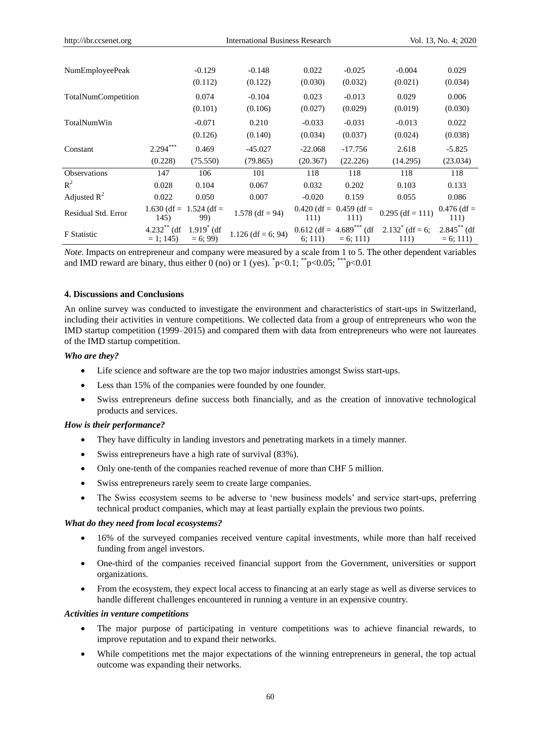| http://ibr.ccsenet.org | <b>International Business Research</b><br>Vol. 13, No. 4; 2020 |                          |                      |                       |                                                      |                                    |                             |
|------------------------|----------------------------------------------------------------|--------------------------|----------------------|-----------------------|------------------------------------------------------|------------------------------------|-----------------------------|
|                        |                                                                |                          |                      |                       |                                                      |                                    |                             |
| <b>NumEmployeePeak</b> |                                                                | $-0.129$                 | $-0.148$             | 0.022                 | $-0.025$                                             | $-0.004$                           | 0.029                       |
|                        |                                                                | (0.112)                  | (0.122)              | (0.030)               | (0.032)                                              | (0.021)                            | (0.034)                     |
| TotalNumCompetition    |                                                                | 0.074                    | $-0.104$             | 0.023                 | $-0.013$                                             | 0.029                              | 0.006                       |
|                        |                                                                | (0.101)                  | (0.106)              | (0.027)               | (0.029)                                              | (0.019)                            | (0.030)                     |
| TotalNumWin            |                                                                | $-0.071$                 | 0.210                | $-0.033$              | $-0.031$                                             | $-0.013$                           | 0.022                       |
|                        |                                                                | (0.126)                  | (0.140)              | (0.034)               | (0.037)                                              | (0.024)                            | (0.038)                     |
| Constant               | $2.294***$                                                     | 0.469                    | $-45.027$            | $-22.068$             | $-17.756$                                            | 2.618                              | $-5.825$                    |
|                        | (0.228)                                                        | (75.550)                 | (79.865)             | (20.367)              | (22.226)                                             | (14.295)                           | (23.034)                    |
| <b>Observations</b>    | 147                                                            | 106                      | 101                  | 118                   | 118                                                  | 118                                | 118                         |
| $R^2$                  | 0.028                                                          | 0.104                    | 0.067                | 0.032                 | 0.202                                                | 0.103                              | 0.133                       |
| Adjusted $R^2$         | 0.022                                                          | 0.050                    | 0.007                | $-0.020$              | 0.159                                                | 0.055                              | 0.086                       |
| Residual Std. Error    | $1.630$ (df =<br>145)                                          | $1.524$ (df =<br>99)     | $1.578$ (df = 94)    | $0.420$ (df =<br>111) | $0.459$ (df =<br>111)                                | $0.295$ (df = 111)                 | $0.476$ (df =<br>111)       |
| <b>F</b> Statistic     | $4.232**$ (df<br>$= 1$ ; 145)                                  | $1.919$ (df<br>$= 6; 99$ | $1.126$ (df = 6; 94) | 6: 111)               | $0.612$ (df = 4.689 <sup>***</sup> (df<br>$= 6; 111$ | $2.132^{\degree}$ (df = 6;<br>111) | $2.845**$ (df<br>$= 6; 111$ |

*Note.* Impacts on entrepreneur and company were measured by a scale from 1 to 5. The other dependent variables and IMD reward are binary, thus either 0 (no) or 1 (yes).  $\overline{p}$   $<$  0.1;  $\overline{p}$   $<$  0.05;  $\overline{p}$   $\leq$  0.01

## **4. Discussions and Conclusions**

An online survey was conducted to investigate the environment and characteristics of start-ups in Switzerland, including their activities in venture competitions. We collected data from a group of entrepreneurs who won the IMD startup competition (1999–2015) and compared them with data from entrepreneurs who were not laureates of the IMD startup competition.

## *Who are they?*

- Life science and software are the top two major industries amongst Swiss start-ups.
- Less than 15% of the companies were founded by one founder.
- Swiss entrepreneurs define success both financially, and as the creation of innovative technological products and services.

#### *How is their performance?*

- They have difficulty in landing investors and penetrating markets in a timely manner.
- Swiss entrepreneurs have a high rate of survival (83%).
- Only one-tenth of the companies reached revenue of more than CHF 5 million.
- Swiss entrepreneurs rarely seem to create large companies.
- The Swiss ecosystem seems to be adverse to 'new business models' and service start-ups, preferring technical product companies, which may at least partially explain the previous two points.

#### *What do they need from local ecosystems?*

- 16% of the surveyed companies received venture capital investments, while more than half received funding from angel investors.
- One-third of the companies received financial support from the Government, universities or support organizations.
- From the ecosystem, they expect local access to financing at an early stage as well as diverse services to handle different challenges encountered in running a venture in an expensive country.

#### *Activities in venture competitions*

- The major purpose of participating in venture competitions was to achieve financial rewards, to improve reputation and to expand their networks.
- While competitions met the major expectations of the winning entrepreneurs in general, the top actual outcome was expanding their networks.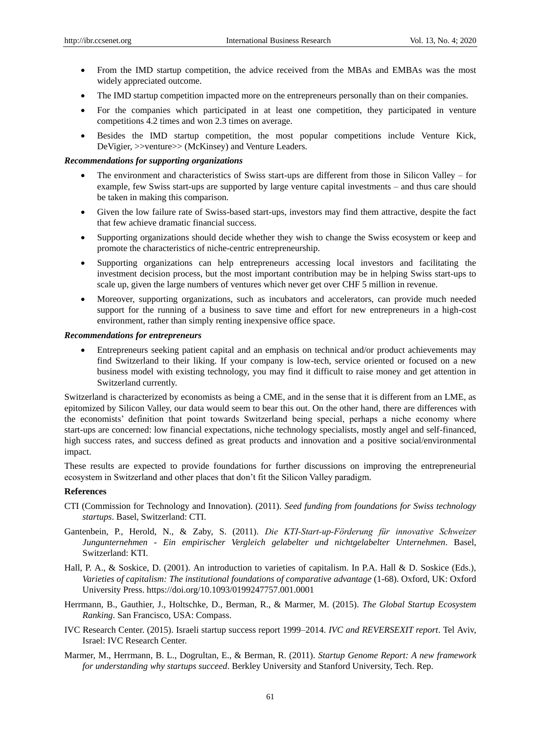- From the IMD startup competition, the advice received from the MBAs and EMBAs was the most widely appreciated outcome.
- The IMD startup competition impacted more on the entrepreneurs personally than on their companies.
- For the companies which participated in at least one competition, they participated in venture competitions 4.2 times and won 2.3 times on average.
- Besides the IMD startup competition, the most popular competitions include Venture Kick, DeVigier, >>venture>> (McKinsey) and Venture Leaders.

#### *Recommendations for supporting organizations*

- The environment and characteristics of Swiss start-ups are different from those in Silicon Valley for example, few Swiss start-ups are supported by large venture capital investments – and thus care should be taken in making this comparison.
- Given the low failure rate of Swiss-based start-ups, investors may find them attractive, despite the fact that few achieve dramatic financial success.
- Supporting organizations should decide whether they wish to change the Swiss ecosystem or keep and promote the characteristics of niche-centric entrepreneurship.
- Supporting organizations can help entrepreneurs accessing local investors and facilitating the investment decision process, but the most important contribution may be in helping Swiss start-ups to scale up, given the large numbers of ventures which never get over CHF 5 million in revenue.
- Moreover, supporting organizations, such as incubators and accelerators, can provide much needed support for the running of a business to save time and effort for new entrepreneurs in a high-cost environment, rather than simply renting inexpensive office space.

## *Recommendations for entrepreneurs*

 Entrepreneurs seeking patient capital and an emphasis on technical and/or product achievements may find Switzerland to their liking. If your company is low-tech, service oriented or focused on a new business model with existing technology, you may find it difficult to raise money and get attention in Switzerland currently.

Switzerland is characterized by economists as being a CME, and in the sense that it is different from an LME, as epitomized by Silicon Valley, our data would seem to bear this out. On the other hand, there are differences with the economists' definition that point towards Switzerland being special, perhaps a niche economy where start-ups are concerned: low financial expectations, niche technology specialists, mostly angel and self-financed, high success rates, and success defined as great products and innovation and a positive social/environmental impact.

These results are expected to provide foundations for further discussions on improving the entrepreneurial ecosystem in Switzerland and other places that don't fit the Silicon Valley paradigm.

#### **References**

- CTI (Commission for Technology and Innovation). (2011). *Seed funding from foundations for Swiss technology startups*. Basel, Switzerland: CTI.
- Gantenbein, P., Herold, N., & Zaby, S. (2011). *Die KTI‐Start‐up‐Förderung für innovative Schweizer Jungunternehmen - Ein empirischer Vergleich gelabelter und nichtgelabelter Unternehmen*. Basel, Switzerland: KTI.
- Hall, P. A., & Soskice, D. (2001). An introduction to varieties of capitalism. In P.A. Hall & D. Soskice (Eds.), *Varieties of capitalism: The institutional foundations of comparative advantage* (1-68). Oxford, UK: Oxford University Press. https://doi.org/10.1093/0199247757.001.0001
- Herrmann, B., Gauthier, J., Holtschke, D., Berman, R., & Marmer, M. (2015). *The Global Startup Ecosystem Ranking*. San Francisco, USA: Compass.
- IVC Research Center. (2015). Israeli startup success report 1999–2014. *IVC and REVERSEXIT report*. Tel Aviv, Israel: IVC Research Center.
- Marmer, M., Herrmann, B. L., Dogrultan, E., & Berman, R. (2011). *Startup Genome Report: A new framework for understanding why startups succeed*. Berkley University and Stanford University, Tech. Rep.